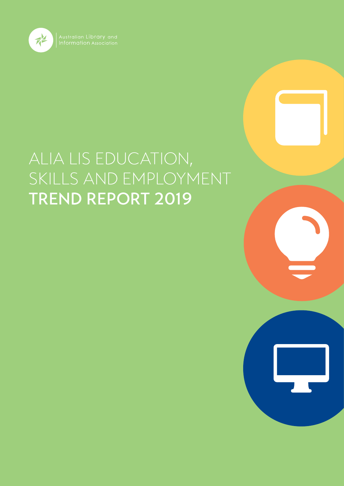

# ALIA LIS EDUCATION, SKILLS AND EMPLOYMENT TREND REPORT 2019

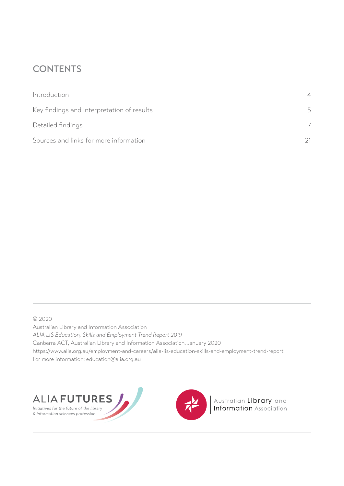# **CONTENTS**

| Introduction                               |   |
|--------------------------------------------|---|
| Key findings and interpretation of results | 5 |
| Detailed findings                          |   |
| Sources and links for more information     |   |

© 2020

Australian Library and Information Association *ALIA LIS Education, Skills and Employment Trend Report 2019* Canberra ACT, Australian Library and Information Association, January 2020 https://www.alia.org.au/employment-and-careers/alia-lis-education-skills-and-employment-trend-report For more information: education@alia.org.au





Australian Library and<br>Information Association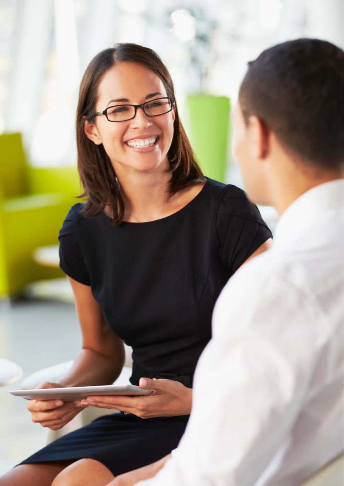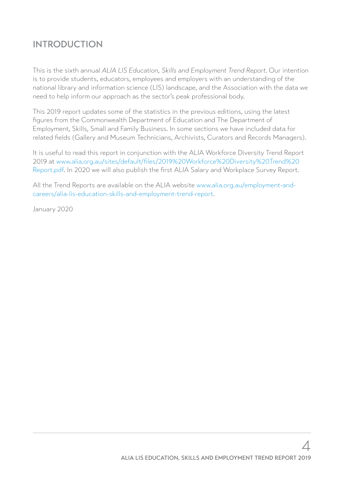# <span id="page-3-0"></span>INTRODUCTION

This is the sixth annual *ALIA LIS Education, Skills and Employment Trend Report*. Our intention is to provide students, educators, employees and employers with an understanding of the national library and information science (LIS) landscape, and the Association with the data we need to help inform our approach as the sector's peak professional body.

This 2019 report updates some of the statistics in the previous editions, using the latest figures from the Commonwealth Department of Education and The Department of Employment, Skills, Small and Family Business. In some sections we have included data for related fields (Gallery and Museum Technicians, Archivists, Curators and Records Managers).

It is useful to read this report in conjunction with the ALIA Workforce Diversity Trend Report 2019 at www.alia.org.au/sites/default/files/2019%20Workforce%20Diversity%20Trend%20 Report.pdf. In 2020 we will also publish the first ALIA Salary and Workplace Survey Report.

All the Trend Reports are available on the ALIA website www.alia.org.au/employment-andcareers/alia-lis-education-skills-and-employment-trend-report.

January 2020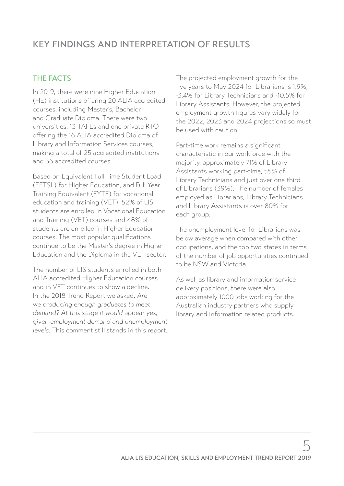# <span id="page-4-0"></span>KEY FINDINGS AND INTERPRETATION OF RESULTS

# THE FACTS

In 2019, there were nine Higher Education (HE) institutions offering 20 ALIA accredited courses, including Master's, Bachelor and Graduate Diploma. There were two universities, 13 TAFEs and one private RTO offering the 16 ALIA accredited Diploma of Library and Information Services courses, making a total of 25 accredited institutions and 36 accredited courses.

Based on Equivalent Full Time Student Load (EFTSL) for Higher Education, and Full Year Training Equivalent (FYTE) for vocational education and training (VET), 52% of LIS students are enrolled in Vocational Education and Training (VET) courses and 48% of students are enrolled in Higher Education courses. The most popular qualifications continue to be the Master's degree in Higher Education and the Diploma in the VET sector.

The number of LIS students enrolled in both ALIA accredited Higher Education courses and in VET continues to show a decline. In the 2018 Trend Report we asked, *Are we producing enough graduates to meet demand? At this stage it would appear yes, given employment demand and unemployment levels*. This comment still stands in this report. The projected employment growth for the five years to May 2024 for Librarians is 1.9%, -3.4% for Library Technicians and -10.5% for Library Assistants. However, the projected employment growth figures vary widely for the 2022, 2023 and 2024 projections so must be used with caution.

Part-time work remains a significant characteristic in our workforce with the majority, approximately 71% of Library Assistants working part-time, 55% of Library Technicians and just over one third of Librarians (39%). The number of females employed as Librarians, Library Technicians and Library Assistants is over 80% for each group.

The unemployment level for Librarians was below average when compared with other occupations, and the top two states in terms of the number of job opportunities continued to be NSW and Victoria.

As well as library and information service delivery positions, there were also approximately 1000 jobs working for the Australian industry partners who supply library and information related products.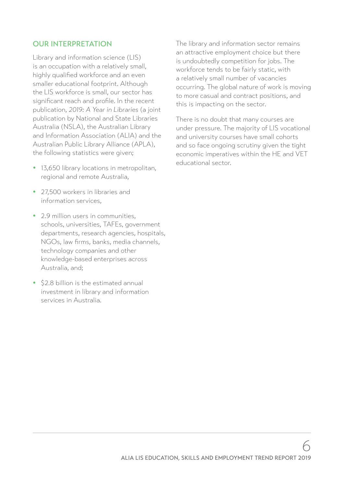### OUR INTERPRETATION

Library and information science (LIS) is an occupation with a relatively small, highly qualified workforce and an even smaller educational footprint. Although the LIS workforce is small, our sector has significant reach and profile. In the recent publication, *2019: A Year in Libraries* (a joint publication by National and State Libraries Australia (NSLA), the Australian Library and Information Association (ALIA) and the Australian Public Library Alliance (APLA), the following statistics were given;

- 13,650 library locations in metropolitan, regional and remote Australia,
- 27,500 workers in libraries and information services,
- 2.9 million users in communities. schools, universities, TAFEs, government departments, research agencies, hospitals, NGOs, law firms, banks, media channels, technology companies and other knowledge-based enterprises across Australia, and;
- \$2.8 billion is the estimated annual investment in library and information services in Australia.

The library and information sector remains an attractive employment choice but there is undoubtedly competition for jobs. The workforce tends to be fairly static, with a relatively small number of vacancies occurring. The global nature of work is moving to more casual and contract positions, and this is impacting on the sector.

There is no doubt that many courses are under pressure. The majority of LIS vocational and university courses have small cohorts and so face ongoing scrutiny given the tight economic imperatives within the HE and VET educational sector.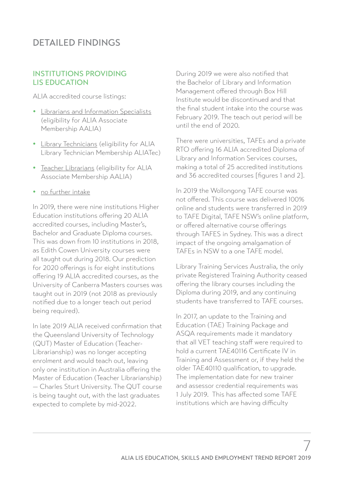# <span id="page-6-0"></span>DETAILED FINDINGS

### INSTITUTIONS PROVIDING LIS EDUCATION

ALIA accredited course listings:

- Librarians and Information Specialists (eligibility for ALIA Associate Membership AALIA)
- Library Technicians (eligibility for ALIA Library Technician Membership ALIATec)
- Teacher Librarians (eligibility for ALIA Associate Membership AALIA)
- no further intake

In 2019, there were nine institutions Higher Education institutions offering 20 ALIA accredited courses, including Master's, Bachelor and Graduate Diploma courses. This was down from 10 institutions in 2018, as Edith Cowen University courses were all taught out during 2018. Our prediction for 2020 offerings is for eight institutions offering 19 ALIA accredited courses, as the University of Canberra Masters courses was taught out in 2019 (not 2018 as previously notified due to a longer teach out period being required).

In late 2019 ALIA received confirmation that the Queensland University of Technology (QUT) Master of Education (Teacher-Librarianship) was no longer accepting enrolment and would teach out, leaving only one institution in Australia offering the Master of Education (Teacher Librarianship) — Charles Sturt University. The QUT course is being taught out, with the last graduates expected to complete by mid-2022.

During 2019 we were also notified that the Bachelor of Library and Information Management offered through Box Hill Institute would be discontinued and that the final student intake into the course was February 2019. The teach out period will be until the end of 2020.

There were universities, TAFEs and a private RTO offering 16 ALIA accredited Diploma of Library and Information Services courses, making a total of 25 accredited institutions and 36 accredited courses [figures 1 and 2].

In 2019 the Wollongong TAFE course was not offered. This course was delivered 100% online and students were transferred in 2019 to TAFE Digital, TAFE NSW's online platform, or offered alternative course offerings through TAFES in Sydney. This was a direct impact of the ongoing amalgamation of TAFEs in NSW to a one TAFE model.

Library Training Services Australia, the only private Registered Training Authority ceased offering the library courses including the Diploma during 2019, and any continuing students have transferred to TAFE courses.

In 2017, an update to the Training and Education (TAE) Training Package and ASQA requirements made it mandatory that all VET teaching staff were required to hold a current TAE40116 Certificate IV in Training and Assessment or, if they held the older TAE40110 qualification, to upgrade. The implementation date for new trainer and assessor credential requirements was 1 July 2019. This has affected some TAFE institutions which are having difficulty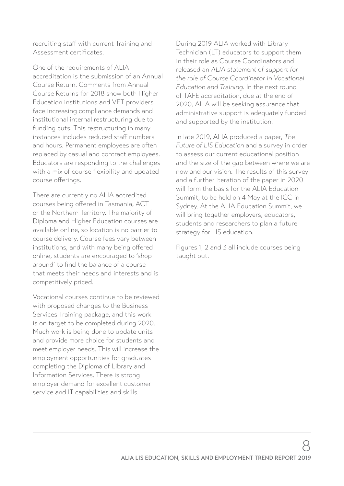recruiting staff with current Training and Assessment certificates.

One of the requirements of ALIA accreditation is the submission of an Annual Course Return. Comments from Annual Course Returns for 2018 show both Higher Education institutions and VET providers face increasing compliance demands and institutional internal restructuring due to funding cuts. This restructuring in many instances includes reduced staff numbers and hours. Permanent employees are often replaced by casual and contract employees. Educators are responding to the challenges with a mix of course flexibility and updated course offerings.

There are currently no ALIA accredited courses being offered in Tasmania, ACT or the Northern Territory. The majority of Diploma and Higher Education courses are available online, so location is no barrier to course delivery. Course fees vary between institutions, and with many being offered online, students are encouraged to 'shop around' to find the balance of a course that meets their needs and interests and is competitively priced.

Vocational courses continue to be reviewed with proposed changes to the Business Services Training package, and this work is on target to be completed during 2020. Much work is being done to update units and provide more choice for students and meet employer needs. This will increase the employment opportunities for graduates completing the Diploma of Library and Information Services. There is strong employer demand for excellent customer service and IT capabilities and skills.

During 2019 ALIA worked with Library Technician (LT) educators to support them in their role as Course Coordinators and released an *ALIA statement of support for the role of Course Coordinator in Vocational Education and Training*. In the next round of TAFE accreditation, due at the end of 2020, ALIA will be seeking assurance that administrative support is adequately funded and supported by the institution.

In late 2019, ALIA produced a paper, *The Future of LIS Education* and a survey in order to assess our current educational position and the size of the gap between where we are now and our vision. The results of this survey and a further iteration of the paper in 2020 will form the basis for the ALIA Education Summit, to be held on 4 May at the ICC in Sydney. At the ALIA Education Summit, we will bring together employers, educators, students and researchers to plan a future strategy for LIS education.

Figures 1, 2 and 3 all include courses being taught out.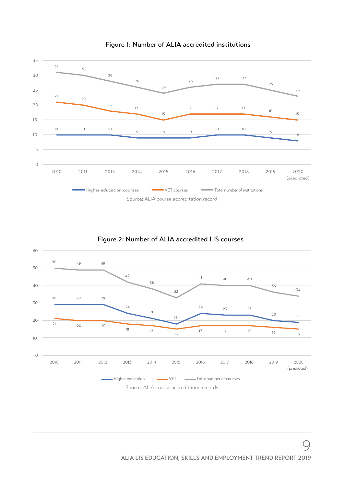

#### Figure 1: Number of ALIA accredited institutions





Source: ALIA course accreditation records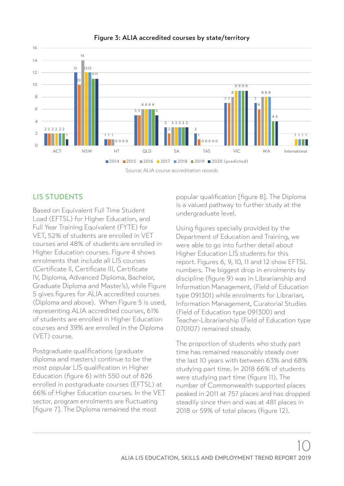

## Figure 3: ALIA accredited courses by state/territory

# LIS STUDENTS

Based on Equivalent Full Time Student Load (EFTSL) for Higher Education, and Full Year Training Equivalent (FYTE) for VET, 52% of students are enrolled in VET courses and 48% of students are enrolled in Higher Education courses. Figure 4 shows enrolments that include all LIS courses (Certificate II, Certificate III, Certificate IV, Diploma, Advanced Diploma, Bachelor, Graduate Diploma and Master's), while Figure 5 gives figures for ALIA accredited courses (Diploma and above). When Figure 5 is used, representing ALIA accredited courses, 61% of students are enrolled in Higher Education courses and 39% are enrolled in the Diploma (VET) course.

Postgraduate qualifications (graduate diploma and masters) continue to be the most popular LIS qualification in Higher Education (figure 6) with 550 out of 826 enrolled in postgraduate courses (EFTSL) at 66% of Higher Education courses. In the VET sector, program enrolments are fluctuating [figure 7]. The Diploma remained the most

popular qualification [figure 8]. The Diploma is a valued pathway to further study at the undergraduate level.

Using figures specially provided by the Department of Education and Training, we were able to go into further detail about Higher Education LIS students for this report. Figures 6, 9, 10, 11 and 12 show EFTSL numbers. The biggest drop in enrolments by discipline (figure 9) was in Librarianship and Information Management, (Field of Education type 091301) while enrolments for Librarian, Information Management, Curatorial Studies (Field of Education type 091300) and Teacher-Librarianship (Field of Education type 070107) remained steady.

The proportion of students who study part time has remained reasonably steady over the last 10 years with between 63% and 68% studying part time. In 2018 66% of students were studying part time (figure 11). The number of Commonwealth supported places peaked in 2011 at 757 places and has dropped steadily since then and was at 481 places in 2018 or 59% of total places (figure 12).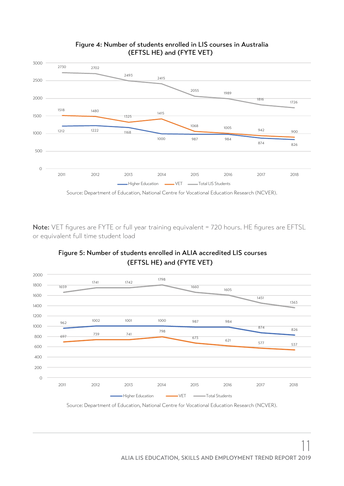

# Figure 4: Number of students enrolled in LIS courses in Australia (EFTSL HE) and (FYTE VET)

Source: Department of Education, National Centre for Vocational Education Research (NCVER).

Note: VET figures are FYTE or full year training equivalent = 720 hours. HE figures are EFTSL or equivalent full time student load



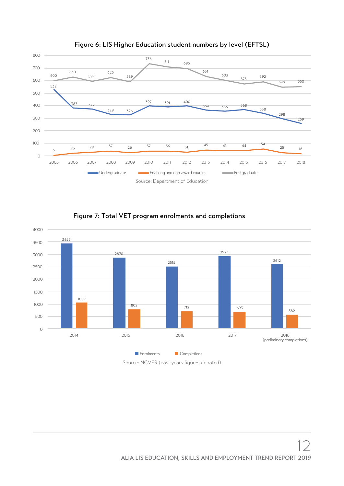

#### Figure 6: LIS Higher Education student numbers by level (EFTSL)



#### Figure 7: Total VET program enrolments and completions

Source: NCVER (past years figures updated)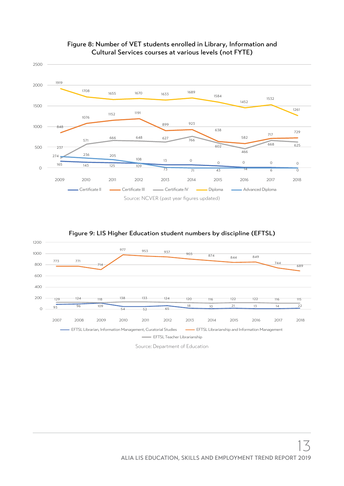

#### Figure 8: Number of VET students enrolled in Library, Information and Cultural Services courses at various levels (not FYTE)

Figure 9: LIS Higher Education student numbers by discipline (EFTSL)



Source: Department of Education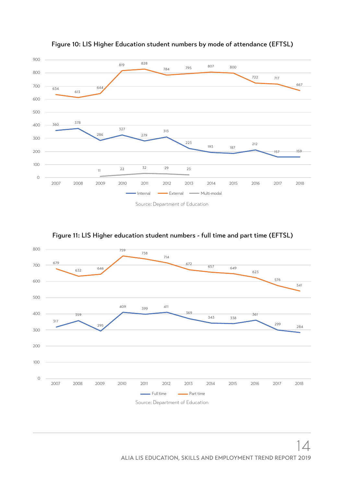

#### Figure 10: LIS Higher Education student numbers by mode of attendance (EFTSL)

Source: Department of Education



Figure 11: LIS Higher education student numbers - full time and part time (EFTSL)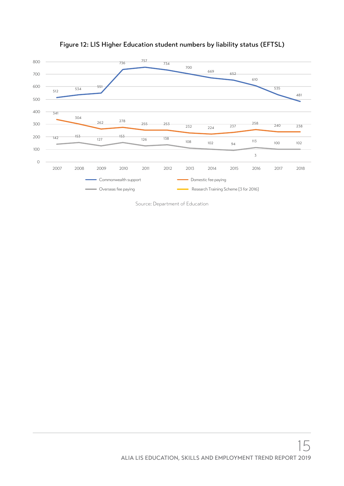

## Figure 12: LIS Higher Education student numbers by liability status (EFTSL)

Source: Department of Education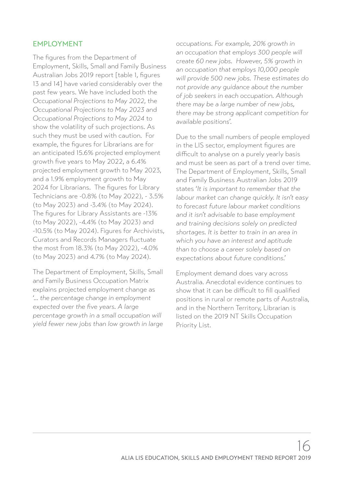## EMPLOYMENT

The figures from the Department of Employment, Skills, Small and Family Business Australian Jobs 2019 report [table 1, figures 13 and 14] have varied considerably over the past few years. We have included both the *Occupational Projections to May 2022*, the *Occupational Projections to May 2023* and *Occupational Projections to May 2024* to show the volatility of such projections. As such they must be used with caution. For example, the figures for Librarians are for an anticipated 15.6% projected employment growth five years to May 2022, a 6.4% projected employment growth to May 2023, and a 1.9% employment growth to May 2024 for Librarians. The figures for Library Technicians are -0.8% (to May 2022), - 3.5% (to May 2023) and -3.4% (to May 2024). The figures for Library Assistants are -13% (to May 2022), -4.4% (to May 2023) and -10.5% (to May 2024). Figures for Archivists, Curators and Records Managers fluctuate the most from 18.3% (to May 2022), -4.0% (to May 2023) and 4.7% (to May 2024).

The Department of Employment, Skills, Small and Family Business Occupation Matrix explains projected employment change as '… *the percentage change in employment expected over the five years. A large percentage growth in a small occupation will yield fewer new jobs than low growth in large*  *occupations. For example, 20% growth in an occupation that employs 300 people will create 60 new jobs. However, 5% growth in an occupation that employs 10,000 people will provide 500 new jobs. These estimates do not provide any guidance about the number of job seekers in each occupation. Although there may be a large number of new jobs, there may be strong applicant competition for available positions*'.

Due to the small numbers of people employed in the LIS sector, employment figures are difficult to analyse on a purely yearly basis and must be seen as part of a trend over time. The Department of Employment, Skills, Small and Family Business Australian Jobs 2019 states '*It is important to remember that the labour market can change quickly. It isn't easy to forecast future labour market conditions and it isn't advisable to base employment and training decisions solely on predicted shortages. It is better to train in an area in which you have an interest and aptitude than to choose a career solely based on expectations about future conditions*.'

Employment demand does vary across Australia. Anecdotal evidence continues to show that it can be difficult to fill qualified positions in rural or remote parts of Australia, and in the Northern Territory, Librarian is listed on the 2019 NT Skills Occupation Priority List.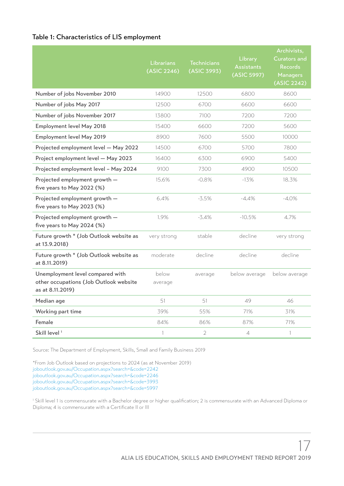#### Table 1: Characteristics of LIS employment

|                                                             | <b>Librarians</b><br>(ASIC 2246) | <b>Technicians</b><br>(ASIC 3993) | Library<br><b>Assistants</b><br>(ASIC 5997) | Archivists,<br><b>Curators and</b><br><b>Records</b><br><b>Managers</b><br>(ASIC 2242) |
|-------------------------------------------------------------|----------------------------------|-----------------------------------|---------------------------------------------|----------------------------------------------------------------------------------------|
| Number of jobs November 2010                                | 14900                            | 12500                             | 6800                                        | 8600                                                                                   |
| Number of jobs May 2017                                     | 12500                            | 6700                              | 6600                                        | 6600                                                                                   |
| Number of jobs November 2017                                | 13800                            | 7100                              | 7200                                        | 7200                                                                                   |
| Employment level May 2018                                   | 15400                            | 6600                              | 7200                                        | 5600                                                                                   |
| <b>Employment level May 2019</b>                            | 8900                             | 7600                              | 5500                                        | 10000                                                                                  |
| Projected employment level - May 2022                       | 14500                            | 6700                              | 5700                                        | 7800                                                                                   |
| Project employment level - May 2023                         | 16400                            | 6300                              | 6900                                        | 5400                                                                                   |
| Projected employment level - May 2024                       | 9100                             | 7300                              | 4900                                        | 10500                                                                                  |
| Projected employment growth -<br>five years to May 2022 (%) | 15.6%                            | $-0.8\%$                          | $-13%$                                      | 18.3%                                                                                  |
| Projected employment growth -<br>five years to May 2023 (%) | 6.4%                             | $-3.5%$                           | $-4.4%$                                     | $-4.0\%$                                                                               |
| Projected employment growth -<br>five years to May 2024 (%) | 1.9%                             | $-3.4%$                           | $-10.5%$                                    | 4.7%                                                                                   |
| Future growth * (Job Outlook website as<br>at 13.9.2018)    | very strong                      | stable                            | decline                                     | very strong                                                                            |
| Future growth * (Job Outlook website as<br>at 8.11.2019)    | moderate                         | decline                           | decline                                     | decline                                                                                |
| Unemployment level compared with                            | below                            | average                           | below average                               | below average                                                                          |
| other occupations (Job Outlook website<br>as at 8.11.2019)  | average                          |                                   |                                             |                                                                                        |
| Median age                                                  | 51                               | 51                                | 49                                          | 46                                                                                     |
| Working part time                                           | 39%                              | 55%                               | 71%                                         | 31%                                                                                    |
| Female                                                      | 84%                              | 86%                               | 87%                                         | 71%                                                                                    |
| Skill level <sup>1</sup>                                    | $\mathbb{1}$                     | $\overline{2}$                    | $\overline{4}$                              | $\left  \right $                                                                       |

Source: The Department of Employment, Skills, Small and Family Business 2019

\*From Job Outlook based on projections to 2024 (as at November 2019) [joboutlook.gov.au/Occupation.aspx?search=&code=2242](http://joboutlook.gov.au/Occupation.aspx?search=&code=2242) [joboutlook.gov.au/Occupation.aspx?search=&code=2246](http://joboutlook.gov.au/Occupation.aspx?search=&code=2246) [joboutlook.gov.au/Occupation.aspx?search=&code=3993](http://joboutlook.gov.au/Occupation.aspx?search=&code=3993) [joboutlook.gov.au/Occupation.aspx?search=&code=5997](http://joboutlook.gov.au/Occupation.aspx?search=&code=5997)

1 Skill level 1 is commensurate with a Bachelor degree or higher qualification; 2 is commensurate with an Advanced Diploma or Diploma; 4 is commensurate with a Certificate II or III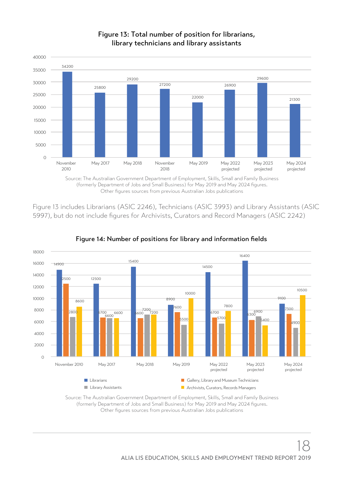

## Figure 13: Total number of position for librarians, library technicians and library assistants

Source: The Australian Government Department of Employment, Skills, Small and Family Business (formerly Department of Jobs and Small Business) for May 2019 and May 2024 figures. Other figures sources from previous Australian Jobs publications

Figure 13 includes Librarians (ASIC 2246), Technicians (ASIC 3993) and Library Assistants (ASIC 5997), but do not include figures for Archivists, Curators and Record Managers (ASIC 2242)



## Figure 14: Number of positions for library and information fields

Source: The Australian Government Department of Employment, Skills, Small and Family Business (formerly Department of Jobs and Small Business) for May 2019 and May 2024 figures. Other figures sources from previous Australian Jobs publications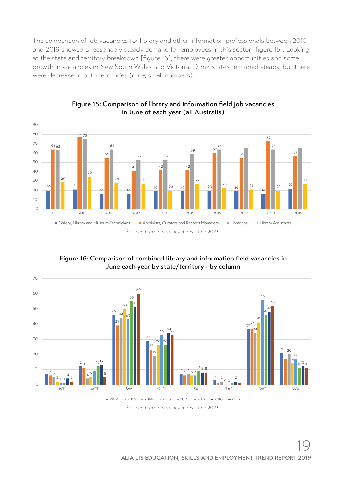The comparison of job vacancies for library and other information professionals between 2010 and 2019 showed a reasonably steady demand for employees in this sector [figure 15]. Looking at the state and territory breakdown [figure 16], there were greater opportunities and some growth in vacancies in New South Wales and Victoria. Other states remained steady, but there were decrease in both territories (note, small numbers).



Figure 15: Comparison of library and information field job vacancies in June of each year (all Australia)

Figure 16: Comparison of combined library and information field vacancies in June each year by state/territory - by column

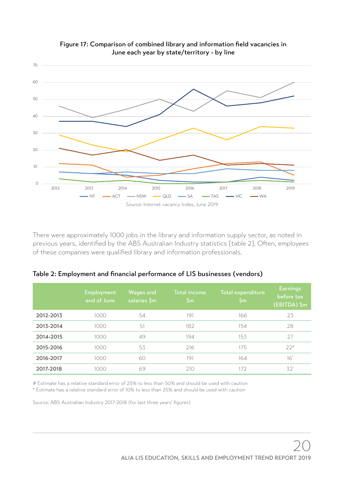



There were approximately 1000 jobs in the library and information supply sector, as noted in previous years, identified by the ABS Australian Industry statistics [table 2]. Often, employees of these companies were qualified library and information professionals.

|           | <b>Employment</b><br>end of June | <b>Wages and</b><br>salaries \$m | <b>Total income</b><br>\$m\$ | <b>Total expenditure</b><br>\$m\$ | <b>Earnings</b><br>before tax<br>(EBITDA) \$m |
|-----------|----------------------------------|----------------------------------|------------------------------|-----------------------------------|-----------------------------------------------|
| 2012-2013 | 1000                             | 54                               | 191                          | 166                               | 23                                            |
| 2013-2014 | 1000                             | 51                               | 182                          | 154                               | 28                                            |
| 2014-2015 | 1000                             | 49                               | 194                          | 153                               | 27                                            |
| 2015-2016 | 1000                             | 53                               | 216                          | 175                               | $22$ <sup>#</sup>                             |
| 2016-2017 | 1000                             | 60                               | 191                          | 164                               | $16*$                                         |
| 2017-2018 | 1000                             | 69                               | 210                          | 172                               | $32^*$                                        |

Table 2: Employment and financial performance of LIS businesses (vendors)

# Estimate has a relative standard error of 25% to less than 50% and should be used with caution

\* Estimate has a relative standard error of 10% to less than 25% and should be used with caution

Source: ABS Australian Industry 2017-2018 (for last three years' figures)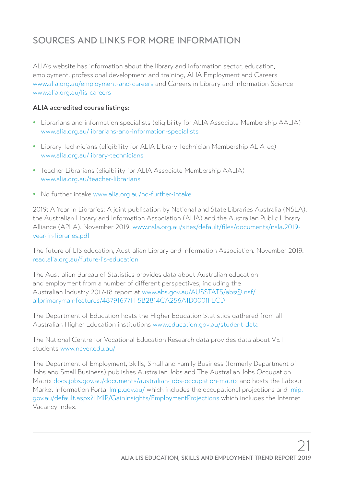# <span id="page-20-0"></span>SOURCES AND LINKS FOR MORE INFORMATION

ALIA's website has information about the library and information sector, education, employment, professional development and training, ALIA Employment and Careers www.alia.org.au/employment-and-careers and Careers in Library and Information Science www.alia.org.au/lis-careers

## ALIA accredited course listings:

- Librarians and information specialists (eligibility for ALIA Associate Membership AALIA) www.alia.org.au/librarians-and-information-specialists
- Library Technicians (eligibility for ALIA Library Technician Membership ALIATec) www.alia.org.au/library-technicians
- Teacher Librarians (eligibility for ALIA Associate Membership AALIA) www.alia.org.au/teacher-librarians
- No further intake www.alia.org.au/no-further-intake

2019: A Year in Libraries: A joint publication by National and State Libraries Australia (NSLA), the Australian Library and Information Association (ALIA) and the Australian Public Library Alliance (APLA). November 2019. www.nsla.org.au/sites/default/files/documents/nsla.2019 year-in-libraries.pdf

The future of LIS education, Australian Library and Information Association. November 2019. read.alia.org.au/future-lis-education

The Australian Bureau of Statistics provides data about Australian education and employment from a number of different perspectives, including the Australian Industry 2017-18 report at www.abs.gov.au/AUSSTATS/abs@.nsf/ allprimarymainfeatures/48791677FF5B2814CA256A1D0001FECD

The Department of Education hosts the Higher Education Statistics gathered from all Australian Higher Education institutions www.education.gov.au/student-data

The National Centre for Vocational Education Research data provides data about VET students www.ncver.edu.au/

The Department of Employment, Skills, Small and Family Business (formerly Department of Jobs and Small Business) publishes Australian Jobs and The Australian Jobs Occupation Matrix docs.jobs.gov.au/documents/australian-jobs-occupation-matrix and hosts the Labour Market Information Portal lmip.gov.au/ which includes the occupational projections and lmip. gov.au/default.aspx?LMIP/GainInsights/EmploymentProjections which includes the Internet Vacancy Index.